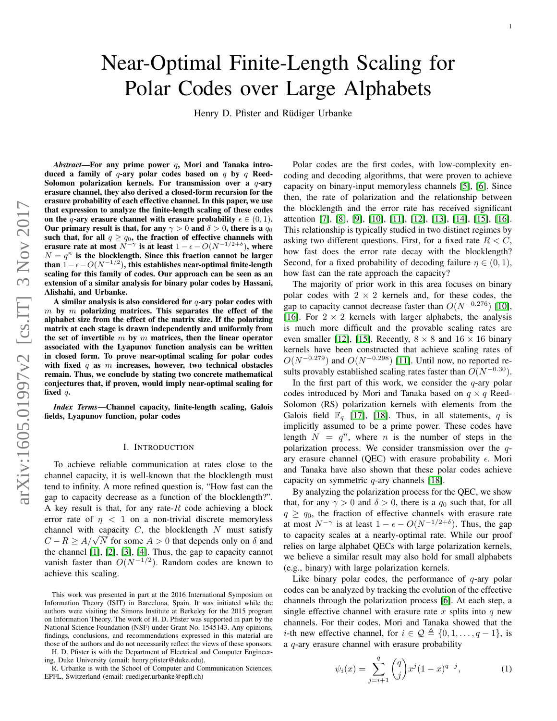# Near-Optimal Finite-Length Scaling for Polar Codes over Large Alphabets

Henry D. Pfister and Rüdiger Urbanke

*Abstract*—For any prime power q, Mori and Tanaka introduced a family of  $q$ -ary polar codes based on  $q$  by  $q$  Reed-Solomon polarization kernels. For transmission over a  $q$ -ary erasure channel, they also derived a closed-form recursion for the erasure probability of each effective channel. In this paper, we use that expression to analyze the finite-length scaling of these codes on the q-ary erasure channel with erasure probability  $\epsilon \in (0, 1)$ . Our primary result is that, for any  $\gamma > 0$  and  $\delta > 0$ , there is a  $q_0$ such that, for all  $q \ge q_0$ , the fraction of effective channels with erasure rate at most  $N^{-\gamma}$  is at least  $1 - \epsilon - O(N^{-1/2+\delta})$ , where  $N = q^n$  is the blocklength. Since this fraction cannot be larger than  $\hat{1} - \epsilon - O(N^{-1/2})$ , this establishes near-optimal finite-length scaling for this family of codes. Our approach can be seen as an extension of a similar analysis for binary polar codes by Hassani, Alishahi, and Urbanke.

A similar analysis is also considered for  $q$ -ary polar codes with  $m$  by  $m$  polarizing matrices. This separates the effect of the alphabet size from the effect of the matrix size. If the polarizing matrix at each stage is drawn independently and uniformly from the set of invertible  $m$  by  $m$  matrices, then the linear operator associated with the Lyapunov function analysis can be written in closed form. To prove near-optimal scaling for polar codes with fixed  $q$  as  $m$  increases, however, two technical obstacles remain. Thus, we conclude by stating two concrete mathematical conjectures that, if proven, would imply near-optimal scaling for fixed q.

*Index Terms*—Channel capacity, finite-length scaling, Galois fields, Lyapunov function, polar codes

#### I. INTRODUCTION

To achieve reliable communication at rates close to the channel capacity, it is well-known that the blocklength must tend to infinity. A more refined question is, "How fast can the gap to capacity decrease as a function of the blocklength?". A key result is that, for any rate- $R$  code achieving a block error rate of  $\eta$  < 1 on a non-trivial discrete memoryless channel with capacity  $C$ , the blocklength  $N$  must satisfy C –  $R \ge A/\sqrt{N}$  for some  $A > 0$  that depends only on  $\delta$  and the channel  $[1]$ ,  $[2]$ ,  $[3]$ ,  $[4]$ . Thus, the gap to capacity cannot vanish faster than  $O(N^{-1/2})$ . Random codes are known to achieve this scaling.

H. D. Pfister is with the Department of Electrical and Computer Engineering, Duke University (email: henry.pfister@duke.edu).

R. Urbanke is with the School of Computer and Communication Sciences, EPFL, Switzerland (email: ruediger.urbanke@epfl.ch)

Polar codes are the first codes, with low-complexity encoding and decoding algorithms, that were proven to achieve capacity on binary-input memoryless channels [\[5\]](#page-11-0), [\[6\]](#page-11-1). Since then, the rate of polarization and the relationship between the blocklength and the error rate has received significant attention [\[7\]](#page-11-2), [\[8\]](#page-11-3), [\[9\]](#page-11-4), [\[10\]](#page-11-5), [\[11\]](#page-11-6), [\[12\]](#page-11-7), [\[13\]](#page-11-8), [\[14\]](#page-11-9), [\[15\]](#page-11-10), [\[16\]](#page-11-11). This relationship is typically studied in two distinct regimes by asking two different questions. First, for a fixed rate  $R < C$ , how fast does the error rate decay with the blocklength? Second, for a fixed probability of decoding failure  $\eta \in (0,1)$ , how fast can the rate approach the capacity?

The majority of prior work in this area focuses on binary polar codes with  $2 \times 2$  kernels and, for these codes, the gap to capacity cannot decrease faster than  $O(N^{-0.276})$  [\[10\]](#page-11-5), [\[16\]](#page-11-11). For  $2 \times 2$  kernels with larger alphabets, the analysis is much more difficult and the provable scaling rates are even smaller [\[12\]](#page-11-7), [\[15\]](#page-11-10). Recently,  $8 \times 8$  and  $16 \times 16$  binary kernels have been constructed that achieve scaling rates of  $O(N^{-0.279})$  and  $O(N^{-0.298})$  [\[11\]](#page-11-6). Until now, no reported results provably established scaling rates faster than  $O(N^{-0.30})$ .

In the first part of this work, we consider the  $q$ -ary polar codes introduced by Mori and Tanaka based on  $q \times q$  Reed-Solomon (RS) polarization kernels with elements from the Galois field  $\mathbb{F}_q$  [\[17\]](#page-11-12), [\[18\]](#page-11-13). Thus, in all statements, q is implicitly assumed to be a prime power. These codes have length  $N = q^n$ , where *n* is the number of steps in the polarization process. We consider transmission over the  $q$ ary erasure channel (OEC) with erasure probability  $\epsilon$ . Mori and Tanaka have also shown that these polar codes achieve capacity on symmetric  $q$ -ary channels [\[18\]](#page-11-13).

By analyzing the polarization process for the QEC, we show that, for any  $\gamma > 0$  and  $\delta > 0$ , there is a  $q_0$  such that, for all  $q \geq q_0$ , the fraction of effective channels with erasure rate at most  $N^{-\gamma}$  is at least  $1 - \epsilon - O(N^{-1/2+\delta})$ . Thus, the gap to capacity scales at a nearly-optimal rate. While our proof relies on large alphabet QECs with large polarization kernels, we believe a similar result may also hold for small alphabets (e.g., binary) with large polarization kernels.

Like binary polar codes, the performance of  $q$ -ary polar codes can be analyzed by tracking the evolution of the effective channels through the polarization process [\[6\]](#page-11-1). At each step, a single effective channel with erasure rate  $x$  splits into  $q$  new channels. For their codes, Mori and Tanaka showed that the *i*-th new effective channel, for  $i \in \mathcal{Q} \triangleq \{0, 1, \ldots, q-1\}$ , is a q-ary erasure channel with erasure probability

<span id="page-0-0"></span>
$$
\psi_i(x) = \sum_{j=i+1}^q \binom{q}{j} x^j (1-x)^{q-j},\tag{1}
$$

This work was presented in part at the 2016 International Symposium on Information Theory (ISIT) in Barcelona, Spain. It was initiated while the authors were visiting the Simons Institute at Berkeley for the 2015 program on Information Theory. The work of H. D. Pfister was supported in part by the National Science Foundation (NSF) under Grant No. 1545143. Any opinions, findings, conclusions, and recommendations expressed in this material are those of the authors and do not necessarily reflect the views of these sponsors.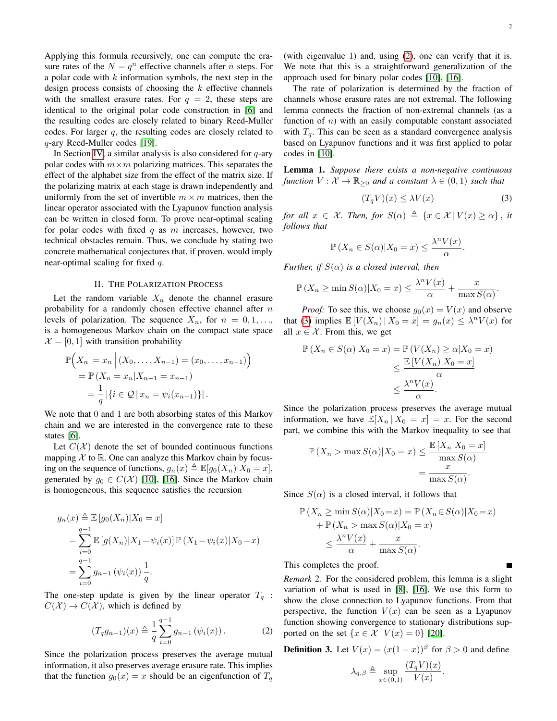Applying this formula recursively, one can compute the erasure rates of the  $N = q^n$  effective channels after *n* steps. For a polar code with  $k$  information symbols, the next step in the design process consists of choosing the  $k$  effective channels with the smallest erasure rates. For  $q = 2$ , these steps are identical to the original polar code construction in [\[6\]](#page-11-1) and the resulting codes are closely related to binary Reed-Muller codes. For larger  $q$ , the resulting codes are closely related to q-ary Reed-Muller codes [\[19\]](#page-11-14).

In Section [IV,](#page-7-0) a similar analysis is also considered for  $q$ -ary polar codes with  $m \times m$  polarizing matrices. This separates the effect of the alphabet size from the effect of the matrix size. If the polarizing matrix at each stage is drawn independently and uniformly from the set of invertible  $m \times m$  matrices, then the linear operator associated with the Lyapunov function analysis can be written in closed form. To prove near-optimal scaling for polar codes with fixed  $q$  as  $m$  increases, however, two technical obstacles remain. Thus, we conclude by stating two concrete mathematical conjectures that, if proven, would imply near-optimal scaling for fixed q.

## II. THE POLARIZATION PROCESS

Let the random variable  $X_n$  denote the channel erasure probability for a randomly chosen effective channel after  $n$ levels of polarization. The sequence  $X_n$ , for  $n = 0, 1, \ldots$ , is a homogeneous Markov chain on the compact state space  $\mathcal{X} = [0, 1]$  with transition probability

$$
\mathbb{P}\Big(X_n = x_n \Big| (X_0, \dots, X_{n-1}) = (x_0, \dots, x_{n-1}) \Big) \n= \mathbb{P}\left(X_n = x_n | X_{n-1} = x_{n-1}\right) \n= \frac{1}{q} \left| \{ i \in \mathcal{Q} \mid x_n = \psi_i(x_{n-1}) \} \right|.
$$

We note that 0 and 1 are both absorbing states of this Markov chain and we are interested in the convergence rate to these states [\[6\]](#page-11-1).

Let  $C(\mathcal{X})$  denote the set of bounded continuous functions mapping  $X$  to  $\mathbb R$ . One can analyze this Markov chain by focusing on the sequence of functions,  $g_n(x) \triangleq \mathbb{E}[g_0(X_n)|X_0 = x]$ , generated by  $g_0 \in C(\mathcal{X})$  [\[10\]](#page-11-5), [\[16\]](#page-11-11). Since the Markov chain is homogeneous, this sequence satisfies the recursion

$$
g_n(x) \triangleq \mathbb{E} [g_0(X_n)|X_0 = x]
$$
  
= 
$$
\sum_{i=0}^{q-1} \mathbb{E} [g(X_n)|X_1 = \psi_i(x)] \mathbb{P}(X_1 = \psi_i(x)|X_0 = x)
$$
  
= 
$$
\sum_{i=0}^{q-1} g_{n-1} (\psi_i(x)) \frac{1}{q}.
$$

The one-step update is given by the linear operator  $T_q$ :  $C(\mathcal{X}) \to C(\mathcal{X})$ , which is defined by

<span id="page-1-0"></span>
$$
(T_q g_{n-1})(x) \triangleq \frac{1}{q} \sum_{i=0}^{q-1} g_{n-1} (\psi_i(x)).
$$
 (2)

Since the polarization process preserves the average mutual information, it also preserves average erasure rate. This implies that the function  $g_0(x) = x$  should be an eigenfunction of  $T_q$ 

П

(with eigenvalue 1) and, using [\(2\)](#page-1-0), one can verify that it is. We note that this is a straightforward generalization of the approach used for binary polar codes [\[10\]](#page-11-5), [\[16\]](#page-11-11).

The rate of polarization is determined by the fraction of channels whose erasure rates are not extremal. The following lemma connects the fraction of non-extremal channels (as a function of  $n$ ) with an easily computable constant associated with  $T_q$ . This can be seen as a standard convergence analysis based on Lyapunov functions and it was first applied to polar codes in [\[10\]](#page-11-5).

<span id="page-1-2"></span>Lemma 1. *Suppose there exists a non-negative continuous function*  $V: \mathcal{X} \to \mathbb{R}_{\geq 0}$  *and a constant*  $\lambda \in (0,1)$  *such that* 

<span id="page-1-1"></span>
$$
(T_q V)(x) \le \lambda V(x) \tag{3}
$$

*for all*  $x \in \mathcal{X}$ *. Then, for*  $S(\alpha) \triangleq \{x \in \mathcal{X} \mid V(x) \geq \alpha\}$ *, it follows that*

$$
\mathbb{P}\left(X_n \in S(\alpha) | X_0 = x\right) \le \frac{\lambda^n V(x)}{\alpha}.
$$

*Further, if*  $S(\alpha)$  *is a closed interval, then* 

$$
\mathbb{P}(X_n \ge \min S(\alpha) | X_0 = x) \le \frac{\lambda^n V(x)}{\alpha} + \frac{x}{\max S(\alpha)}.
$$

*Proof:* To see this, we choose  $g_0(x) = V(x)$  and observe that [\(3\)](#page-1-1) implies  $\mathbb{E}[V(X_n) | X_0 = x] = g_n(x) \leq \lambda^n V(x)$  for all  $x \in \mathcal{X}$ . From this, we get

$$
\mathbb{P}(X_n \in S(\alpha)|X_0 = x) = \mathbb{P}(V(X_n) \ge \alpha | X_0 = x)
$$
  
\n
$$
\le \frac{\mathbb{E}[V(X_n)|X_0 = x]}{\alpha}
$$
  
\n
$$
\le \frac{\lambda^n V(x)}{\alpha}.
$$

Since the polarization process preserves the average mutual information, we have  $\mathbb{E}[X_n | X_0 = x] = x$ . For the second part, we combine this with the Markov inequality to see that

$$
\mathbb{P}(X_n > \max S(\alpha)|X_0 = x) \le \frac{\mathbb{E}[X_n|X_0 = x]}{\max S(\alpha)} = \frac{x}{\max S(\alpha)}.
$$

Since  $S(\alpha)$  is a closed interval, it follows that

$$
\mathbb{P}(X_n \ge \min S(\alpha)|X_0 = x) = \mathbb{P}(X_n \in S(\alpha)|X_0 = x)
$$
  
+  $\mathbb{P}(X_n > \max S(\alpha)|X_0 = x)$   
 $\le \frac{\lambda^n V(x)}{\alpha} + \frac{x}{\max S(\alpha)}$ .

This completes the proof.

*Remark* 2*.* For the considered problem, this lemma is a slight variation of what is used in [\[8\]](#page-11-3), [\[16\]](#page-11-11). We use this form to show the close connection to Lyapunov functions. From that perspective, the function  $V(x)$  can be seen as a Lyapunov function showing convergence to stationary distributions supported on the set  $\{x \in \mathcal{X} \mid V(x) = 0\}$  [\[20\]](#page-11-15).

<span id="page-1-3"></span>**Definition 3.** Let  $V(x) = (x(1-x))^{\beta}$  for  $\beta > 0$  and define

$$
\lambda_{q,\beta} \triangleq \sup_{x \in (0,1)} \frac{(T_q V)(x)}{V(x)}.
$$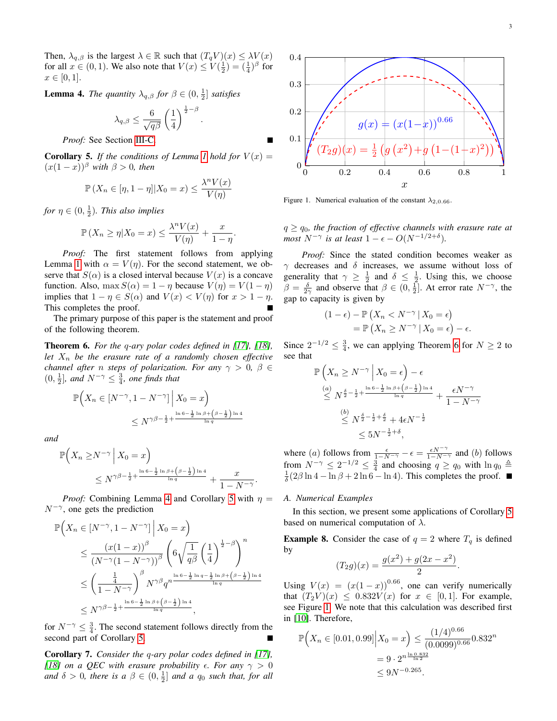Then,  $\lambda_{q,\beta}$  is the largest  $\lambda \in \mathbb{R}$  such that  $(T_q V)(x) \leq \lambda V(x)$ for all  $x \in (0, 1)$ . We also note that  $V(x) \le V(\frac{1}{2}) = (\frac{1}{4})^{\beta}$  for  $x \in [0, 1].$ 

<span id="page-2-0"></span>**Lemma 4.** *The quantity*  $\lambda_{q,\beta}$  *for*  $\beta \in (0, \frac{1}{2}]$  *satisfies* 

$$
\lambda_{q,\beta}\leq \frac{6}{\sqrt{q\beta}}\left(\frac{1}{4}\right)^{\frac{1}{2}-\beta}.
$$

*Proof:* See Section [III-C.](#page-5-0)

<span id="page-2-1"></span>**Corollary 5.** If the conditions of Lemma [1](#page-1-2) hold for  $V(x) =$  $(x(1-x))^{\beta}$  with  $\beta > 0$ , then

$$
\mathbb{P}\left(X_n \in [\eta, 1-\eta] | X_0 = x\right) \le \frac{\lambda^n V(x)}{V(\eta)}
$$

*for*  $\eta \in (0, \frac{1}{2})$ *. This also implies* 

$$
\mathbb{P}\left(X_n \ge \eta | X_0 = x\right) \le \frac{\lambda^n V(x)}{V(\eta)} + \frac{x}{1 - \eta}.
$$

*Proof:* The first statement follows from applying Lemma [1](#page-1-2) with  $\alpha = V(\eta)$ . For the second statement, we observe that  $S(\alpha)$  is a closed interval because  $V(x)$  is a concave function. Also, max  $S(\alpha) = 1 - \eta$  because  $V(\eta) = V(1 - \eta)$ implies that  $1 - \eta \in S(\alpha)$  and  $V(x) < V(\eta)$  for  $x > 1 - \eta$ . This completes the proof.

The primary purpose of this paper is the statement and proof of the following theorem.

<span id="page-2-2"></span>Theorem 6. *For the* q*-ary polar codes defined in [\[17\]](#page-11-12), [\[18\]](#page-11-13), let*  $X_n$  *be the erasure rate of a randomly chosen effective channel after n steps of polarization. For any*  $\gamma > 0$ ,  $\beta \in$  $(0, \frac{1}{2}]$ *, and*  $N^{-\gamma} \leq \frac{3}{4}$ *, one finds that* 

$$
\mathbb{P}\Big(X_n \in [N^{-\gamma}, 1 - N^{-\gamma}] \Big| X_0 = x\Big)
$$
  
 
$$
\leq N^{\gamma \beta - \frac{1}{2} + \frac{\ln 6 - \frac{1}{2} \ln \beta + \left(\beta - \frac{1}{2}\right) \ln 4}{\ln q}}
$$

*and*

$$
\mathbb{P}\Big(X_n \ge N^{-\gamma} \Big| X_0 = x\Big)
$$
  
 
$$
\le N^{\gamma\beta - \frac{1}{2} + \frac{\ln 6 - \frac{1}{2} \ln \beta + \left(\beta - \frac{1}{2}\right) \ln 4}{\ln q}} + \frac{x}{1 - N^{-\gamma}}.
$$

*Proof:* Combining Lemma [4](#page-2-0) and Corollary [5](#page-2-1) with  $\eta$  =  $N^{-\gamma}$ , one gets the prediction

$$
\mathbb{P}\Big(X_n \in [N^{-\gamma}, 1 - N^{-\gamma}] \Big| X_0 = x\Big)
$$
  
\n
$$
\leq \frac{(x(1-x))^{\beta}}{(N^{-\gamma}(1 - N^{-\gamma}))^{\beta}} \left(6\sqrt{\frac{1}{q\beta}} \left(\frac{1}{4}\right)^{\frac{1}{2}-\beta}\right)^n
$$
  
\n
$$
\leq \left(\frac{\frac{1}{4}}{1 - N^{-\gamma}}\right)^{\beta} N^{\gamma\beta} q^{n \frac{\ln 6 - \frac{1}{2} \ln q - \frac{1}{2} \ln \beta + \left(\beta - \frac{1}{2}\right) \ln 4}{\ln q}}
$$
  
\n
$$
\leq N^{\gamma\beta - \frac{1}{2} + \frac{\ln 6 - \frac{1}{2} \ln \beta + \left(\beta - \frac{1}{2}\right) \ln 4}{\ln q}},
$$

for  $N^{-\gamma} \leq \frac{3}{4}$ . The second statement follows directly from the second part of Corollary [5.](#page-2-1)

Corollary 7. *Consider the* q*-ary polar codes defined in [\[17\]](#page-11-12), [\[18\]](#page-11-13)* on a QEC with erasure probability  $\epsilon$ . For any  $\gamma > 0$ *and*  $\delta > 0$ , there is  $a \beta \in (0, \frac{1}{2}]$  *and*  $a \ q_0$  *such that, for all* 



<span id="page-2-3"></span>Figure 1. Numerical evaluation of the constant  $\lambda_{2,0.66}$ .

 $q \geq q_0$ , the fraction of effective channels with erasure rate at *most*  $N^{-\gamma}$  *is at least*  $1 - \epsilon - O(N^{-1/2+\delta})$ *.* 

*Proof:* Since the stated condition becomes weaker as  $\gamma$  decreases and  $\delta$  increases, we assume without loss of generality that  $\gamma \geq \frac{1}{2}$  and  $\delta \leq \frac{1}{2}$ . Using this, we choose  $\beta = \frac{\delta}{2\gamma}$  and observe that  $\beta \in (0, \frac{1}{2}]$ . At error rate  $N^{-\gamma}$ , the gap to capacity is given by

$$
(1 - \epsilon) - \mathbb{P}\left(X_n < N^{-\gamma} \mid X_0 = \epsilon\right)
$$
\n
$$
= \mathbb{P}\left(X_n \geq N^{-\gamma} \mid X_0 = \epsilon\right) - \epsilon.
$$

Since  $2^{-1/2} \leq \frac{3}{4}$ , we can applying Theorem [6](#page-2-2) for  $N \geq 2$  to see that

$$
\mathbb{P}\left(X_n \ge N^{-\gamma} \middle| X_0 = \epsilon\right) - \epsilon
$$
\n
$$
\stackrel{(a)}{\le} N^{\frac{\delta}{2} - \frac{1}{2} + \frac{\ln 6 - \frac{1}{2} \ln \beta + \left(\beta - \frac{1}{2}\right) \ln 4}{\ln q}} + \frac{\epsilon N^{-\gamma}}{1 - N^{-\gamma}}
$$
\n
$$
\stackrel{(b)}{\le} N^{\frac{\delta}{2} - \frac{1}{2} + \frac{\delta}{2}} + 4\epsilon N^{-\frac{1}{2}}
$$
\n
$$
\leq 5N^{-\frac{1}{2} + \delta},
$$

where (a) follows from  $\frac{\epsilon}{1-N^{-\gamma}} - \epsilon = \frac{\epsilon N^{-\gamma}}{1-N^{-\gamma}}$  and (b) follows from  $N^{-\gamma} \le 2^{-1/2} \le \frac{3}{4}$  and choosing  $q \ge q_0$  with  $\ln q_0 \triangleq \frac{1}{\delta}(2\beta \ln 4 - \ln \beta + 2\ln 6 - \ln 4)$ . This completes the proof. ■

#### *A. Numerical Examples*

In this section, we present some applications of Corollary [5](#page-2-1) based on numerical computation of  $\lambda$ .

**Example 8.** Consider the case of  $q = 2$  where  $T_q$  is defined by

$$
(T_2 g)(x) = \frac{g(x^2) + g(2x - x^2)}{2}.
$$

Using  $V(x) = (x(1-x))^{0.66}$ , one can verify numerically that  $(T_2V)(x) \leq 0.832V(x)$  for  $x \in [0,1]$ . For example, see Figure [1.](#page-2-3) We note that this calculation was described first in [\[10\]](#page-11-5). Therefore,

$$
\mathbb{P}\Big(X_n \in [0.01, 0.99] \Big| X_0 = x\Big) \le \frac{(1/4)^{0.66}}{(0.0099)^{0.66}} 0.832^n
$$

$$
= 9 \cdot 2^{n \frac{\ln 0.832}{\ln 2}} \le 9N^{-0.265}.
$$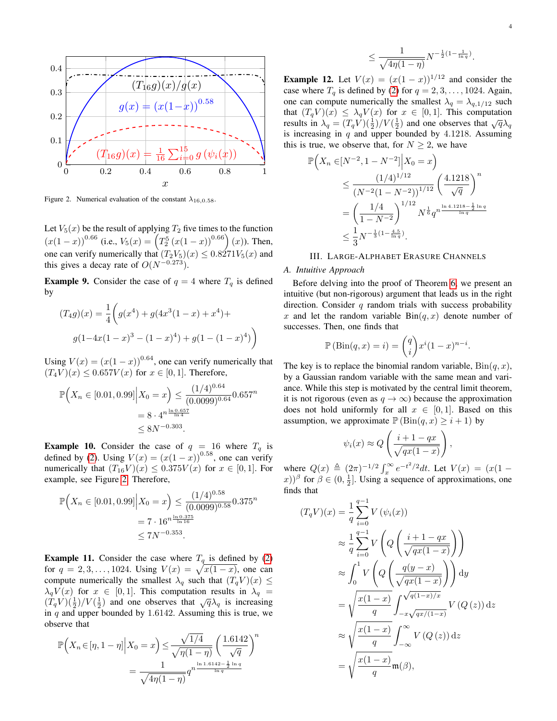

<span id="page-3-0"></span>Figure 2. Numerical evaluation of the constant  $\lambda_{16,0.58}$ .

Let  $V_5(x)$  be the result of applying  $T_2$  five times to the function  $(x(1-x))^{0.66}$  (i.e.,  $V_5(x) = \left(T_2^5(x(1-x))^{0.66}\right)(x)$ ). Then, one can verify numerically that  $(T_2V_5)(x) \leq 0.8271V_5(x)$  and this gives a decay rate of  $O(N^{-0.273})$ .

**Example 9.** Consider the case of  $q = 4$  where  $T_q$  is defined by

$$
(T_4g)(x) = \frac{1}{4} \left( g(x^4) + g(4x^3(1-x) + x^4) + g(1 - 4x(1-x)^3 - (1-x)^4) + g(1 - (1-x)^4) \right)
$$

Using  $V(x) = (x(1-x))^{0.64}$ , one can verify numerically that  $(T_4V)(x) \le 0.657V(x)$  for  $x \in [0,1]$ . Therefore,

$$
\mathbb{P}\left(X_n \in [0.01, 0.99] \Big| X_0 = x\right) \le \frac{(1/4)^{0.64}}{(0.0099)^{0.64}} 0.657^n
$$

$$
= 8 \cdot 4^{n \frac{\ln 0.657}{\ln 4}} \le 8N^{-0.303}.
$$

**Example 10.** Consider the case of  $q = 16$  where  $T_q$  is defined by [\(2\)](#page-1-0). Using  $V(x) = (x(1-x))^{0.58}$ , one can verify numerically that  $(T_{16}V)(x) \leq 0.375V(x)$  for  $x \in [0,1]$ . For example, see Figure [2.](#page-3-0) Therefore,

$$
\mathbb{P}\left(X_n \in [0.01, 0.99] \Big| X_0 = x\right) \le \frac{(1/4)^{0.58}}{(0.0099)^{0.58}} 0.375^n
$$

$$
= 7 \cdot 16^{n \frac{\ln 0.375}{\ln 16}}
$$

$$
\le 7N^{-0.353}.
$$

<span id="page-3-1"></span>**Example 11.** Consider the case where  $T_q$  is defined by [\(2\)](#page-1-0) for  $q = 2, 3, ..., 1024$ . Using  $V(x) = \sqrt{x(1-x)}$ , one can compute numerically the smallest  $\lambda_q$  such that  $(T_q V)(x) \leq$  $\lambda_q V(x)$  for  $x \in [0,1]$ . This computation results in  $\lambda_q =$  $(\dot{T}_q V)(\frac{1}{2})/V(\frac{1}{2})$  and one observes that  $\sqrt{q}\lambda_q$  is increasing in  $q$  and upper bounded by 1.6142. Assuming this is true, we observe that

$$
\mathbb{P}\left(X_n \in [\eta, 1-\eta] \middle| X_0 = x\right) \le \frac{\sqrt{1/4}}{\sqrt{\eta(1-\eta)}} \left(\frac{1.6142}{\sqrt{q}}\right)^n
$$

$$
= \frac{1}{\sqrt{4\eta(1-\eta)}} q^{n^{\frac{\ln 1.6142 - \frac{1}{2}\ln q}{\ln q}}}
$$

$$
\leq \frac{1}{\sqrt{4\eta(1-\eta)}} N^{-\frac{1}{2}(1-\frac{1}{\ln q})}.
$$

**Example 12.** Let  $V(x) = (x(1-x))^{1/12}$  and consider the case where  $T_q$  is defined by [\(2\)](#page-1-0) for  $q = 2, 3, \ldots, 1024$ . Again, one can compute numerically the smallest  $\lambda_q = \lambda_{q,1/12}$  such that  $(T_q V)(x) \leq \lambda_q V(x)$  for  $x \in [0,1]$ . This computation results in  $\lambda_q = (T_q V)(\frac{1}{2})/V(\frac{1}{2})$  and one observes that  $\sqrt{q}\lambda_q$ is increasing in  $q$  and upper bounded by 4.1218. Assuming this is true, we observe that, for  $N \geq 2$ , we have

$$
\mathbb{P}\left(X_n \in [N^{-2}, 1 - N^{-2}] \middle| X_0 = x\right)
$$
\n
$$
\leq \frac{(1/4)^{1/12}}{(N^{-2}(1 - N^{-2}))^{1/12}} \left(\frac{4.1218}{\sqrt{q}}\right)^n
$$
\n
$$
= \left(\frac{1/4}{1 - N^{-2}}\right)^{1/12} N^{\frac{1}{6}} q^{n \frac{\ln 4.1218 - \frac{1}{2} \ln q}{\ln q}}
$$
\n
$$
\leq \frac{1}{3} N^{-\frac{1}{3}(1 - \frac{4.5}{\ln q})}.
$$

# III. LARGE-ALPHABET ERASURE CHANNELS

## *A. Intuitive Approach*

Before delving into the proof of Theorem [6,](#page-2-2) we present an intuitive (but non-rigorous) argument that leads us in the right direction. Consider  $q$  random trials with success probability x and let the random variable  $\text{Bin}(q, x)$  denote number of successes. Then, one finds that

$$
\mathbb{P}(\text{Bin}(q, x) = i) = \binom{q}{i} x^i (1 - x)^{n - i}.
$$

The key is to replace the binomial random variable,  $\text{Bin}(q, x)$ , by a Gaussian random variable with the same mean and variance. While this step is motivated by the central limit theorem, it is not rigorous (even as  $q \to \infty$ ) because the approximation does not hold uniformly for all  $x \in [0,1]$ . Based on this assumption, we approximate  $\mathbb{P}(\text{Bin}(q, x) \geq i + 1)$  by

$$
\psi_i(x) \approx Q\left(\frac{i+1-qx}{\sqrt{qx(1-x)}}\right)
$$

,

where  $Q(x) \triangleq (2\pi)^{-1/2} \int_x^{\infty} e^{-t^2/2} dt$ . Let  $V(x) = (x(1$ x))<sup>β</sup> for  $\beta \in (0, \frac{1}{2}]$ . Using a sequence of approximations, one finds that

$$
(T_q V)(x) = \frac{1}{q} \sum_{i=0}^{q-1} V(\psi_i(x))
$$
  
\n
$$
\approx \frac{1}{q} \sum_{i=0}^{q-1} V\left(Q\left(\frac{i+1-qx}{\sqrt{qx(1-x)}}\right)\right)
$$
  
\n
$$
\approx \int_0^1 V\left(Q\left(\frac{q(y-x)}{\sqrt{qx(1-x)}}\right)\right) dy
$$
  
\n
$$
= \sqrt{\frac{x(1-x)}{q}} \int_{-x\sqrt{qx/(1-x)}}^{\sqrt{q(1-x)/x}} V(Q(z)) dz
$$
  
\n
$$
\approx \sqrt{\frac{x(1-x)}{q}} \int_{-\infty}^{\infty} V(Q(z)) dz
$$
  
\n
$$
= \sqrt{\frac{x(1-x)}{q}} \mathfrak{m}(\beta),
$$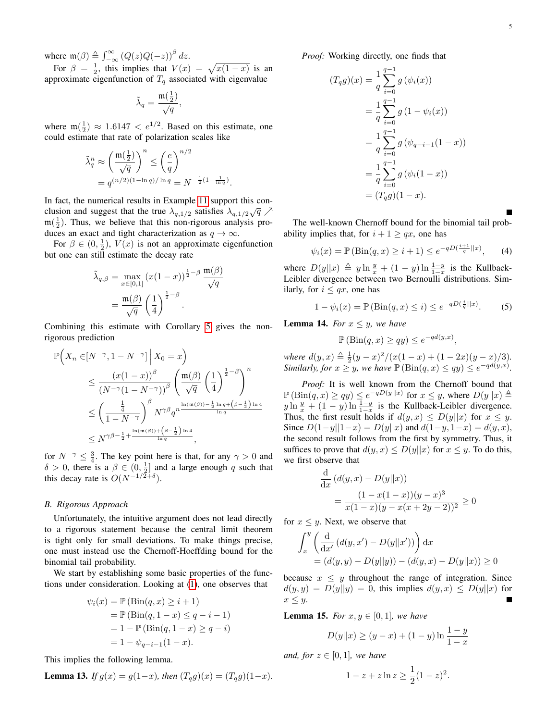where  $\mathfrak{m}(\beta) \triangleq \int_{-\infty}^{\infty} (Q(z)Q(-z))^{\beta} dz$ .

For  $\beta = \frac{1}{2}$ , this implies that  $V(x) = \sqrt{x(1-x)}$  is an approximate eigenfunction of  $T_q$  associated with eigenvalue

$$
\tilde{\lambda}_q = \frac{\mathfrak{m}(\frac{1}{2})}{\sqrt{q}},
$$

where  $\mathfrak{m}(\frac{1}{2}) \approx 1.6147 < e^{1/2}$ . Based on this estimate, one could estimate that rate of polarization scales like

$$
\begin{aligned} \tilde{\lambda}_q^n &\approx \left(\frac{\mathfrak{m}\big(\frac{1}{2}\big)}{\sqrt{q}}\right)^n \leq \left(\frac{e}{q}\right)^{n/2} \\ &=q^{(n/2)(1-\ln q)/\ln q} = N^{-\frac{1}{2}(1-\frac{1}{\ln q})}. \end{aligned}
$$

In fact, the numerical results in Example [11](#page-3-1) support this conclusion and suggest that the true  $\lambda_{q,1/2}$  satisfies  $\lambda_{q,1/2} \sqrt{q}$   $\nearrow$  $m(\frac{1}{2})$ . Thus, we believe that this non-rigorous analysis produces an exact and tight characterization as  $q \to \infty$ .

For  $\beta \in (0, \frac{1}{2})$ ,  $V(x)$  is not an approximate eigenfunction but one can still estimate the decay rate

$$
\tilde{\lambda}_{q,\beta} = \max_{x \in [0,1]} (x(1-x))^{\frac{1}{2}-\beta} \frac{\mathfrak{m}(\beta)}{\sqrt{q}}
$$

$$
= \frac{\mathfrak{m}(\beta)}{\sqrt{q}} \left(\frac{1}{4}\right)^{\frac{1}{2}-\beta}.
$$

Combining this estimate with Corollary [5](#page-2-1) gives the nonrigorous prediction

$$
\mathbb{P}\Big(X_n \in [N^{-\gamma}, 1 - N^{-\gamma}] \Big| X_0 = x\Big)
$$
  
\n
$$
\leq \frac{(x(1-x))^{\beta}}{(N^{-\gamma}(1 - N^{-\gamma}))^{\beta}} \left(\frac{\mathfrak{m}(\beta)}{\sqrt{q}} \left(\frac{1}{4}\right)^{\frac{1}{2} - \beta}\right)^n
$$
  
\n
$$
\leq \left(\frac{\frac{1}{4}}{1 - N^{-\gamma}}\right)^{\beta} N^{\gamma \beta} q^{n \frac{\ln(\mathfrak{m}(\beta)) - \frac{1}{2} \ln q + (\beta - \frac{1}{2}) \ln 4}{\ln q}}
$$
  
\n
$$
\leq N^{\gamma \beta - \frac{1}{2} + \frac{\ln(\mathfrak{m}(\beta)) + (\beta - \frac{1}{2}) \ln 4}{\ln q}},
$$

for  $N^{-\gamma} \leq \frac{3}{4}$ . The key point here is that, for any  $\gamma > 0$  and  $\delta > 0$ , there is a  $\beta \in (0, \frac{1}{2}]$  and a large enough q such that this decay rate is  $O(N^{-1/2+\delta})$ .

## *B. Rigorous Approach*

Unfortunately, the intuitive argument does not lead directly to a rigorous statement because the central limit theorem is tight only for small deviations. To make things precise, one must instead use the Chernoff-Hoeffding bound for the binomial tail probability.

We start by establishing some basic properties of the functions under consideration. Looking at [\(1\)](#page-0-0), one observes that

$$
\psi_i(x) = \mathbb{P}(\text{Bin}(q, x) \ge i + 1) \n= \mathbb{P}(\text{Bin}(q, 1 - x) \le q - i - 1) \n= 1 - \mathbb{P}(\text{Bin}(q, 1 - x) \ge q - i) \n= 1 - \psi_{q-i-1}(1 - x).
$$

This implies the following lemma.

<span id="page-4-0"></span>**Lemma 13.** If 
$$
g(x) = g(1-x)
$$
, then  $(T_q g)(x) = (T_q g)(1-x)$ .

*Proof:* Working directly, one finds that

$$
(T_q g)(x) = \frac{1}{q} \sum_{i=0}^{q-1} g(\psi_i(x))
$$
  
=  $\frac{1}{q} \sum_{i=0}^{q-1} g(1 - \psi_i(x))$   
=  $\frac{1}{q} \sum_{i=0}^{q-1} g(\psi_{q-i-1}(1-x))$   
=  $\frac{1}{q} \sum_{i=0}^{q-1} g(\psi_i(1-x))$   
=  $(T_q g)(1-x).$ 

The well-known Chernoff bound for the binomial tail probability implies that, for  $i + 1 \geq qx$ , one has

<span id="page-4-1"></span>
$$
\psi_i(x) = \mathbb{P}(\text{Bin}(q, x) \ge i + 1) \le e^{-qD(\frac{i+1}{q}||x)}, \quad (4)
$$

where  $D(y||x) \triangleq y \ln \frac{y}{x} + (1-y) \ln \frac{1-y}{1-x}$  is the Kullback-Leibler divergence between two Bernoulli distributions. Similarly, for  $i \leq qx$ , one has

<span id="page-4-3"></span>
$$
1 - \psi_i(x) = \mathbb{P}(\text{Bin}(q, x) \le i) \le e^{-qD(\frac{i}{q}||x)}.
$$
 (5)

<span id="page-4-2"></span>**Lemma 14.** *For*  $x \leq y$ *, we have* 

$$
\mathbb{P}(\text{Bin}(q, x) \ge qy) \le e^{-qd(y, x)},
$$

*where*  $d(y, x) \triangleq \frac{1}{2}(y-x)^2/(x(1-x)+(1-2x)(y-x)/3)$ *. Similarly, for*  $x \geq y$ *, we have*  $\mathbb{P}(\text{Bin}(q, x) \leq qy) \leq e^{-qd(y,x)}$ *.* 

*Proof:* It is well known from the Chernoff bound that  $\mathbb{P}(\text{Bin}(q, x) \ge qy) \le e^{-qD(y||x)}$  for  $x \le y$ , where  $D(y||x) \triangleq$  $y \ln \frac{y}{x} + (1 - y) \ln \frac{1 - y}{1 - x}$  is the Kullback-Leibler divergence. Thus, the first result holds if  $d(y, x) \le D(y||x)$  for  $x \le y$ . Since  $D(1-y||1-x) = D(y||x)$  and  $d(1-y, 1-x) = d(y, x)$ , the second result follows from the first by symmetry. Thus, it suffices to prove that  $d(y, x) \le D(y||x)$  for  $x \le y$ . To do this, we first observe that

$$
\frac{\mathrm{d}}{\mathrm{d}x} (d(y, x) - D(y||x))
$$
  
= 
$$
\frac{(1 - x(1 - x))(y - x)^3}{x(1 - x)(y - x(x + 2y - 2))^2} \ge 0
$$

for  $x \leq y$ . Next, we observe that

$$
\int_{x}^{y} \left( \frac{d}{dx'} (d(y, x') - D(y||x')) \right) dx
$$
  
=  $(d(y, y) - D(y||y)) - (d(y, x) - D(y||x)) \ge 0$ 

because  $x \leq y$  throughout the range of integration. Since  $d(y, y) = D(y||y) = 0$ , this implies  $d(y, x) \le D(y||x)$  for  $x \leq y$ .

<span id="page-4-4"></span>**Lemma 15.** *For*  $x, y \in [0, 1]$ *, we have* 

$$
D(y||x) \ge (y - x) + (1 - y)\ln\frac{1 - y}{1 - x}
$$

*and, for*  $z \in [0,1]$ *, we have* 

$$
1 - z + z \ln z \ge \frac{1}{2} (1 - z)^2.
$$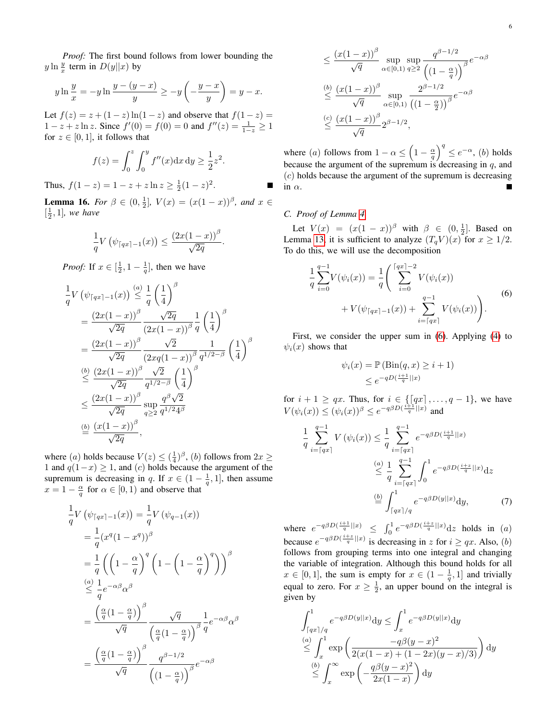$$
y \ln \frac{y}{x} = -y \ln \frac{y - (y - x)}{y} \ge -y \left( -\frac{y - x}{y} \right) = y - x.
$$

Let  $f(z) = z + (1 - z) \ln(1 - z)$  and observe that  $f(1 - z) =$  $1 - z + z \ln z$ . Since  $f'(0) = f(0) = 0$  and  $f''(z) = \frac{1}{1-z} \ge 1$ for  $z \in [0, 1]$ , it follows that

$$
f(z) = \int_0^z \int_0^y f''(x) dx dy \ge \frac{1}{2} z^2.
$$

Thus,  $f(1-z) = 1 - z + z \ln z \ge \frac{1}{2}(1-z)^2$ .

<span id="page-5-2"></span>**Lemma 16.** *For*  $\beta \in (0, \frac{1}{2}]$ ,  $V(x) = (x(1-x))^{\beta}$ , and  $x \in$  $\left[\frac{1}{2}, 1\right]$ *, we have* 

$$
\frac{1}{q}V\left(\psi_{\lceil qx \rceil - 1}(x)\right) \le \frac{\left(2x(1-x)\right)^{\beta}}{\sqrt{2q}}
$$

.

*Proof:* If  $x \in [\frac{1}{2}, 1 - \frac{1}{q}]$ , then we have

$$
\frac{1}{q}V\left(\psi_{\lceil qx \rceil - 1}(x)\right) \stackrel{(a)}{\leq} \frac{1}{q} \left(\frac{1}{4}\right)^{\beta} \n= \frac{(2x(1-x))^{\beta}}{\sqrt{2q}} \frac{\sqrt{2q}}{(2x(1-x))^{\beta}} \frac{1}{q} \left(\frac{1}{4}\right)^{\beta} \n= \frac{(2x(1-x))^{\beta}}{\sqrt{2q}} \frac{\sqrt{2}}{(2xq(1-x))^{\beta}} \frac{1}{q^{1/2-\beta}} \left(\frac{1}{4}\right)^{\beta} \n\stackrel{(b)}{\leq} \frac{(2x(1-x))^{\beta}}{\sqrt{2q}} \frac{\sqrt{2}}{q^{1/2-\beta}} \left(\frac{1}{4}\right)^{\beta} \n\leq \frac{(2x(1-x))^{\beta}}{\sqrt{2q}} \sup_{q\geq 2} \frac{q^{\beta}\sqrt{2}}{q^{1/2}4^{\beta}} \n\stackrel{(b)}{\leq} \frac{(x(1-x))^{\beta}}{\sqrt{2q}},
$$

where (*a*) holds because  $V(z) \leq (\frac{1}{4})^{\beta}$ , (*b*) follows from  $2x \geq$ 1 and  $q(1-x) \geq 1$ , and  $(c)$  holds because the argument of the supremum is decreasing in q. If  $x \in (1 - \frac{1}{q}, 1]$ , then assume  $x = 1 - \frac{\alpha}{q}$  for  $\alpha \in [0, 1)$  and observe that

$$
\frac{1}{q}V(\psi_{\lceil qx \rceil - 1}(x)) = \frac{1}{q}V(\psi_{q-1}(x))
$$
\n
$$
= \frac{1}{q}(x^q(1 - x^q))^{\beta}
$$
\n
$$
= \frac{1}{q}\left(\left(1 - \frac{\alpha}{q}\right)^q \left(1 - \left(1 - \frac{\alpha}{q}\right)^q\right)\right)^{\beta}
$$
\n
$$
\stackrel{(a)}{\leq} \frac{1}{q}e^{-\alpha\beta}\alpha^{\beta}
$$
\n
$$
= \frac{\left(\frac{\alpha}{q}(1 - \frac{\alpha}{q})\right)^{\beta}}{\sqrt{q}}\frac{\sqrt{q}}{\left(\frac{\alpha}{q}(1 - \frac{\alpha}{q})\right)^{\beta}}\frac{1}{q}e^{-\alpha\beta}\alpha^{\beta}
$$
\n
$$
= \frac{\left(\frac{\alpha}{q}(1 - \frac{\alpha}{q})\right)^{\beta}}{\sqrt{q}}\frac{q^{\beta - 1/2}}{\left((1 - \frac{\alpha}{q})\right)^{\beta}}e^{-\alpha\beta}
$$

$$
\leq \frac{(x(1-x))^{\beta}}{\sqrt{q}} \sup_{\alpha \in [0,1)} \sup_{q \geq 2} \frac{q^{\beta - 1/2}}{\left(1 - \frac{\alpha}{q}\right)^{\beta}} e^{-\alpha \beta}
$$
  

$$
\leq \frac{(b)}{\sqrt{q}} \frac{(x(1-x))^{\beta}}{\alpha \in [0,1)} \sup_{\alpha \in [0,1)} \frac{2^{\beta - 1/2}}{\left(1 - \frac{\alpha}{2}\right)^{\beta}} e^{-\alpha \beta}
$$
  

$$
\leq \frac{(x(1-x))^{\beta}}{\sqrt{q}} 2^{\beta - 1/2},
$$

 $\left| \right| ^{q} \leq e^{-\alpha}$ , (b) holds where (*a*) follows from  $1 - \alpha \leq \left(1 - \frac{\alpha}{q}\right)$ because the argument of the supremum is decreasing in  $q$ , and  $(c)$  holds because the argument of the supremum is decreasing in  $\alpha$ . Г

## <span id="page-5-0"></span>*C. Proof of Lemma [4](#page-2-0)*

Let  $V(x) = (x(1-x))^{\beta}$  with  $\beta \in (0, \frac{1}{2}]$ . Based on Lemma [13,](#page-4-0) it is sufficient to analyze  $(T_q V)(x)$  for  $x \geq 1/2$ . To do this, we will use the decomposition

<span id="page-5-1"></span>
$$
\frac{1}{q} \sum_{i=0}^{q-1} V(\psi_i(x)) = \frac{1}{q} \Bigg( \sum_{i=0}^{\lceil qx \rceil - 2} V(\psi_i(x)) + V(\psi_{\lceil qx \rceil - 1}(x)) + \sum_{i=\lceil qx \rceil}^{q-1} V(\psi_i(x)) \Bigg). \tag{6}
$$

First, we consider the upper sum in [\(6\)](#page-5-1). Applying [\(4\)](#page-4-1) to  $\psi_i(x)$  shows that

$$
\psi_i(x) = \mathbb{P}(\text{Bin}(q, x) \ge i + 1)
$$
  

$$
\le e^{-qD(\frac{i+1}{q}||x)}
$$

for  $i + 1 \geq qx$ . Thus, for  $i \in \{[qx], \ldots, q-1\}$ , we have  $V(\psi_i(x)) \leq (\psi_i(x))^{\beta} \leq e^{-q\beta D(\frac{i+1}{q}||x)}$  and

$$
\frac{1}{q} \sum_{i=\lceil qx \rceil}^{q-1} V(\psi_i(x)) \le \frac{1}{q} \sum_{i=\lceil qx \rceil}^{q-1} e^{-q\beta D(\frac{i+1}{q}||x)}
$$
\n
$$
\le \frac{1}{q} \sum_{i=\lceil qx \rceil}^{q-1} \int_0^1 e^{-q\beta D(\frac{i+2}{q}||x)} dz
$$
\n
$$
\stackrel{\text{(b)}}{=} \int_{\lceil qx \rceil/q}^1 e^{-q\beta D(y||x)} dy, \tag{7}
$$

where  $e^{-q\beta D(\frac{i+1}{q}||x)} \leq \int_0^1 e^{-q\beta D(\frac{i+z}{q}||x)} dz$  holds in (a) because  $e^{-q\beta D(\frac{i+z}{q}||x)}$  is decreasing in z for  $i \ge qx$ . Also, (b) follows from grouping terms into one integral and changing the variable of integration. Although this bound holds for all  $x \in [0, 1]$ , the sum is empty for  $x \in (1 - \frac{1}{q}, 1]$  and trivially equal to zero. For  $x \geq \frac{1}{2}$ , an upper bound on the integral is given by

$$
\int_{\lceil qx \rceil/q}^{1} e^{-q\beta D(y||x)} dy \le \int_{x}^{1} e^{-q\beta D(y||x)} dy
$$
  
\n
$$
\le \int_{x}^{(a)} \exp \left( \frac{-q\beta(y-x)^2}{2(x(1-x)+(1-2x)(y-x)/3)} \right) dy
$$
  
\n
$$
\le \int_{x}^{\infty} \exp \left( -\frac{q\beta(y-x)^2}{2x(1-x)} \right) dy
$$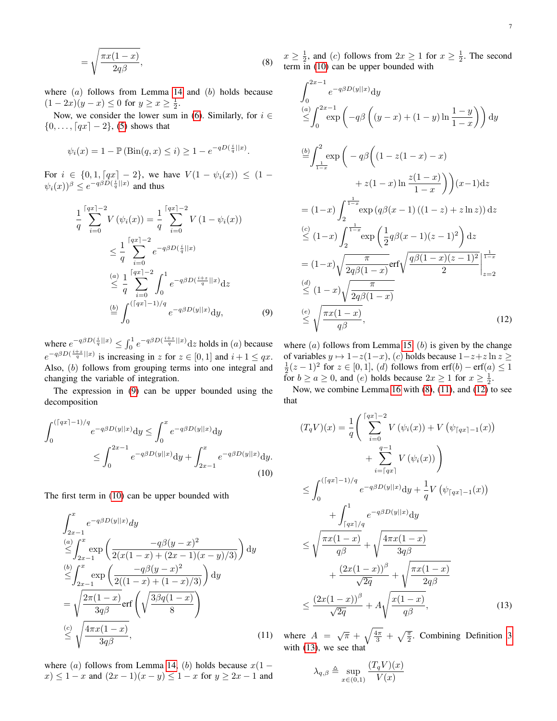$$
=\sqrt{\frac{\pi x(1-x)}{2q\beta}},\tag{8}
$$

where  $(a)$  follows from Lemma [14](#page-4-2) and  $(b)$  holds because  $(1-2x)(y-x) \le 0$  for  $y \ge x \ge \frac{1}{2}$ .

Now, we consider the lower sum in [\(6\)](#page-5-1). Similarly, for  $i \in$  $\{0, \ldots, [qx] - 2\},$  [\(5\)](#page-4-3) shows that

$$
\psi_i(x) = 1 - \mathbb{P}(\text{Bin}(q, x) \leq i) \geq 1 - e^{-qD(\frac{i}{q}||x)}.
$$

For  $i \in \{0, 1, \lceil qx \rceil - 2\}$ , we have  $V(1 - \psi_i(x)) \leq (1 \psi_i(x)$ )<sup> $\beta \leq e^{-q\beta D(\frac{i}{q}||x)}$  and thus</sup>

$$
\frac{1}{q} \sum_{i=0}^{\lceil qx \rceil - 2} V(\psi_i(x)) = \frac{1}{q} \sum_{i=0}^{\lceil qx \rceil - 2} V(1 - \psi_i(x))
$$
\n
$$
\leq \frac{1}{q} \sum_{i=0}^{\lceil qx \rceil - 2} e^{-q\beta D(\frac{i}{q}||x)}
$$
\n
$$
\leq \frac{1}{q} \sum_{i=0}^{\lceil qx \rceil - 2} \int_0^1 e^{-q\beta D(\frac{i+z}{q}||x)} dz
$$
\n
$$
\stackrel{\text{(b)}}{=} \int_0^{\lceil (qx \rceil - 1)/q} e^{-q\beta D(y||x)} dy, \qquad (9)
$$

where  $e^{-q\beta D(\frac{i}{q}||x)} \leq \int_0^1 e^{-q\beta D(\frac{i+z}{q}||x)} dz$  holds in (a) because  $e^{-q\beta D(\frac{i+z}{q}||x)}$  is increasing in z for  $z \in [0,1]$  and  $i+1 \leq qx$ . Also, (b) follows from grouping terms into one integral and changing the variable of integration.

The expression in [\(9\)](#page-6-0) can be upper bounded using the decomposition

$$
\int_0^{(\lceil qx \rceil - 1)/q} e^{-q\beta D(y||x)} dy \le \int_0^x e^{-q\beta D(y||x)} dy
$$
  
 
$$
\le \int_0^{2x-1} e^{-q\beta D(y||x)} dy + \int_{2x-1}^x e^{-q\beta D(y||x)} dy.
$$
 (10)

The first term in [\(10\)](#page-6-1) can be upper bounded with

$$
\int_{2x-1}^{x} e^{-q\beta D(y||x)} dy
$$
\n
$$
\leq \int_{2x-1}^{a} \exp\left(\frac{-q\beta(y-x)^2}{2(x(1-x)+(2x-1)(x-y)/3)}\right) dy
$$
\n
$$
\leq \int_{2x-1}^{b} \exp\left(\frac{-q\beta(y-x)^2}{2((1-x)+(1-x)/3)}\right) dy
$$
\n
$$
= \sqrt{\frac{2\pi(1-x)}{3q\beta}} \text{erf}\left(\sqrt{\frac{3\beta q(1-x)}{8}}\right)
$$
\n
$$
\leq \sqrt{\frac{4\pi x(1-x)}{3q\beta}},
$$
\n(11)

where (a) follows from Lemma [14,](#page-4-2) (b) holds because  $x(1 (x) \leq 1 - x$  and  $(2x - 1)(x - y) \leq 1 - x$  for  $y \geq 2x - 1$  and

<span id="page-6-2"></span> $x \ge \frac{1}{2}$ , and (c) follows from  $2x \ge 1$  for  $x \ge \frac{1}{2}$ . The second term in [\(10\)](#page-6-1) can be upper bounded with

$$
\int_{0}^{2x-1} e^{-q\beta D(y||x)} dy
$$
  
\n
$$
\leq \int_{0}^{2x-1} \exp \left(-q\beta \left((y-x)+(1-y)\ln\frac{1-y}{1-x}\right)\right) dy
$$
  
\n
$$
\stackrel{(b)}{=} \int_{\frac{1}{1-x}}^{2} \exp \left(-q\beta \left((1-z(1-x)-x) + z(1-x)\ln\frac{z(1-x)}{1-x}\right)\right)(x-1) dz
$$
  
\n
$$
= (1-x) \int_{2}^{\frac{1}{1-x}} \exp (q\beta(x-1)((1-z)+z\ln z)) dz
$$
  
\n
$$
\leq (1-x) \int_{2}^{\frac{1}{1-x}} \exp \left(\frac{1}{2}q\beta(x-1)(z-1)^{2}\right) dz
$$
  
\n
$$
= (1-x) \sqrt{\frac{\pi}{2q\beta(1-x)}} \exp \left(\frac{q\beta(1-x)(z-1)^{2}}{2}\right)^{\frac{1}{1-x}}
$$
  
\n
$$
\leq (1-x) \sqrt{\frac{\pi}{2q\beta(1-x)}}
$$
  
\n
$$
\leq \sqrt{\frac{\pi x(1-x)}{q\beta}},
$$
  
\n(12)

<span id="page-6-4"></span><span id="page-6-0"></span>where  $(a)$  follows from Lemma [15,](#page-4-4)  $(b)$  is given by the change of variables  $y \mapsto 1-z(1-x)$ , (c) holds because  $1-z+z \ln z$  ≥  $\frac{1}{2}(z-1)^2$  for  $z \in [0,1]$ , (d) follows from erf(b) – erf(a)  $\leq 1$ for  $b \ge a \ge 0$ , and  $(e)$  holds because  $2x \ge 1$  for  $x \ge \frac{1}{2}$ .

Now, we combine Lemma [16](#page-5-2) with [\(8\)](#page-6-2), [\(11\)](#page-6-3), and [\(12\)](#page-6-4) to see that

<span id="page-6-1"></span>
$$
(T_q V)(x) = \frac{1}{q} \left( \sum_{i=0}^{\lceil qx \rceil - 2} V(\psi_i(x)) + V(\psi_{\lceil qx \rceil - 1}(x)) + \sum_{i=\lceil qx \rceil}^{q-1} V(\psi_i(x)) \right) \n\leq \int_0^{(\lceil qx \rceil - 1)/q} e^{-q\beta D(y||x)} dy + \frac{1}{q} V(\psi_{\lceil qx \rceil - 1}(x)) \n+ \int_{\lceil qx \rceil / q}^1 e^{-q\beta D(y||x)} dy \n\leq \sqrt{\frac{\pi x (1 - x)}{q\beta}} + \sqrt{\frac{4\pi x (1 - x)}{3q\beta}} \n+ \frac{(2x(1 - x))^{\beta}}{\sqrt{2q}} + \sqrt{\frac{\pi x (1 - x)}{2q\beta}} \n\leq \frac{(2x(1 - x))^{\beta}}{\sqrt{2q}} + A \sqrt{\frac{x(1 - x)}{q\beta}},
$$
\n(13)

<span id="page-6-3"></span>where  $A = \sqrt{\pi} + \sqrt{\frac{4\pi}{3}} + \sqrt{\frac{\pi}{2}}$ . Combining Definition [3](#page-1-3) with [\(13\)](#page-6-5), we see that

<span id="page-6-5"></span>
$$
\lambda_{q,\beta} \triangleq \sup_{x \in (0,1)} \frac{(T_q V)(x)}{V(x)}
$$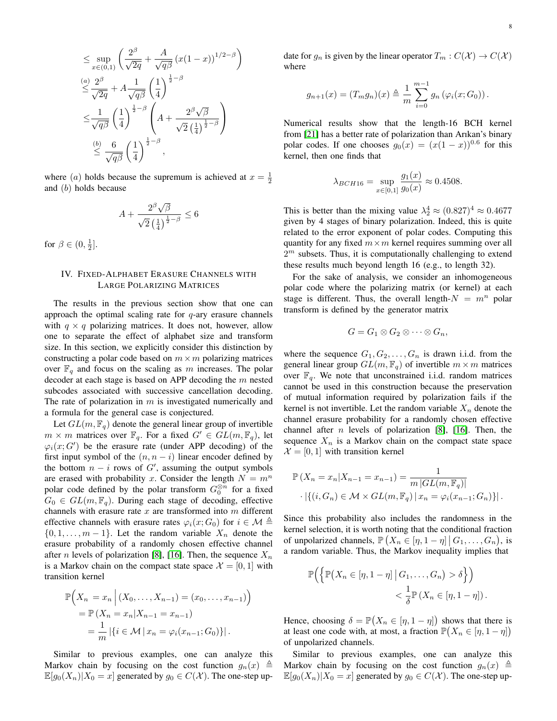$$
\leq \sup_{x \in (0,1)} \left( \frac{2^{\beta}}{\sqrt{2q}} + \frac{A}{\sqrt{q\beta}} (x(1-x))^{1/2-\beta} \right)
$$
  
\n
$$
\leq \frac{2^{\beta}}{\sqrt{2q}} + A \frac{1}{\sqrt{q\beta}} \left( \frac{1}{4} \right)^{\frac{1}{2}-\beta}
$$
  
\n
$$
\leq \frac{1}{\sqrt{q\beta}} \left( \frac{1}{4} \right)^{\frac{1}{2}-\beta} \left( A + \frac{2^{\beta} \sqrt{\beta}}{\sqrt{2} \left( \frac{1}{4} \right)^{\frac{1}{2}-\beta}} \right)
$$
  
\n
$$
\leq \frac{6}{\sqrt{q\beta}} \left( \frac{1}{4} \right)^{\frac{1}{2}-\beta},
$$

where (*a*) holds because the supremum is achieved at  $x = \frac{1}{2}$ and (b) holds because

$$
A + \frac{2^{\beta} \sqrt{\beta}}{\sqrt{2} \left(\frac{1}{4}\right)^{\frac{1}{2} - \beta}} \le 6
$$

for  $\beta \in (0, \frac{1}{2}].$ 

# <span id="page-7-0"></span>IV. FIXED-ALPHABET ERASURE CHANNELS WITH LARGE POLARIZING MATRICES

The results in the previous section show that one can approach the optimal scaling rate for  $q$ -ary erasure channels with  $q \times q$  polarizing matrices. It does not, however, allow one to separate the effect of alphabet size and transform size. In this section, we explicitly consider this distinction by constructing a polar code based on  $m \times m$  polarizing matrices over  $\mathbb{F}_q$  and focus on the scaling as m increases. The polar decoder at each stage is based on APP decoding the  $m$  nested subcodes associated with successive cancellation decoding. The rate of polarization in  $m$  is investigated numerically and a formula for the general case is conjectured.

Let  $GL(m, \mathbb{F}_q)$  denote the general linear group of invertible  $m \times m$  matrices over  $\mathbb{F}_q$ . For a fixed  $G' \in GL(m, \mathbb{F}_q)$ , let  $\varphi_i(x;G')$  be the erasure rate (under APP decoding) of the first input symbol of the  $(n, n - i)$  linear encoder defined by the bottom  $n - i$  rows of  $G'$ , assuming the output symbols are erased with probability x. Consider the length  $N = m^n$ polar code defined by the polar transform  $G_0^{\otimes n}$  for a fixed  $G_0 \in GL(m, \mathbb{F}_q)$ . During each stage of decoding, effective channels with erasure rate  $x$  are transformed into  $m$  different effective channels with erasure rates  $\varphi_i(x; G_0)$  for  $i \in \mathcal{M}$  $\{0, 1, \ldots, m-1\}$ . Let the random variable  $X_n$  denote the erasure probability of a randomly chosen effective channel after *n* levels of polarization [\[8\]](#page-11-3), [\[16\]](#page-11-11). Then, the sequence  $X_n$ is a Markov chain on the compact state space  $\mathcal{X} = [0, 1]$  with transition kernel

$$
\mathbb{P}\Big(X_n = x_n \Big| (X_0, \dots, X_{n-1}) = (x_0, \dots, x_{n-1}) \Big) \n= \mathbb{P}\left(X_n = x_n | X_{n-1} = x_{n-1}\right) \n= \frac{1}{m} |\{i \in \mathcal{M} | x_n = \varphi_i(x_{n-1}; G_0)\}|.
$$

Similar to previous examples, one can analyze this Markov chain by focusing on the cost function  $g_n(x) \triangleq$  $\mathbb{E}[g_0(X_n)|X_0=x]$  generated by  $g_0 \in C(\mathcal{X})$ . The one-step update for  $g_n$  is given by the linear operator  $T_m : C(\mathcal{X}) \to C(\mathcal{X})$ where

$$
g_{n+1}(x) = (T_m g_n)(x) \triangleq \frac{1}{m} \sum_{i=0}^{m-1} g_n(\varphi_i(x; G_0)).
$$

Numerical results show that the length-16 BCH kernel from [\[21\]](#page-11-16) has a better rate of polarization than Arıkan's binary polar codes. If one chooses  $g_0(x) = (x(1-x))^{0.6}$  for this kernel, then one finds that

$$
\lambda_{BCH16} = \sup_{x \in [0,1]} \frac{g_1(x)}{g_0(x)} \approx 0.4508.
$$

This is better than the mixing value  $\lambda_2^4 \approx (0.827)^4 \approx 0.4677$ given by 4 stages of binary polarization. Indeed, this is quite related to the error exponent of polar codes. Computing this quantity for any fixed  $m \times m$  kernel requires summing over all  $2<sup>m</sup>$  subsets. Thus, it is computationally challenging to extend these results much beyond length 16 (e.g., to length 32).

For the sake of analysis, we consider an inhomogeneous polar code where the polarizing matrix (or kernel) at each stage is different. Thus, the overall length- $N = m^n$  polar transform is defined by the generator matrix

$$
G=G_1\otimes G_2\otimes\cdots\otimes G_n,
$$

where the sequence  $G_1, G_2, \ldots, G_n$  is drawn i.i.d. from the general linear group  $GL(m, \mathbb{F}_q)$  of invertible  $m \times m$  matrices over  $\mathbb{F}_q$ . We note that unconstrained i.i.d. random matrices cannot be used in this construction because the preservation of mutual information required by polarization fails if the kernel is not invertible. Let the random variable  $X_n$  denote the channel erasure probability for a randomly chosen effective channel after  $n$  levels of polarization [\[8\]](#page-11-3), [\[16\]](#page-11-11). Then, the sequence  $X_n$  is a Markov chain on the compact state space  $\mathcal{X} = [0, 1]$  with transition kernel

$$
\mathbb{P}(X_n = x_n | X_{n-1} = x_{n-1}) = \frac{1}{m | GL(m, \mathbb{F}_q)|} \cdot | \{ (i, G_n) \in \mathcal{M} \times GL(m, \mathbb{F}_q) | x_n = \varphi_i(x_{n-1}; G_n) \} |.
$$

Since this probability also includes the randomness in the kernel selection, it is worth noting that the conditional fraction of unpolarized channels,  $\mathbb{P}\left(X_n \in [\eta, 1-\eta] \, \big| \, G_1, \ldots, G_n\right)$ , is a random variable. Thus, the Markov inequality implies that

$$
\mathbb{P}\Big(\Big\{\mathbb{P}\big(X_n \in [\eta, 1-\eta] \, \big| \, G_1, \dots, G_n\big) > \delta\Big\}\Big) \\ < \frac{1}{\delta} \mathbb{P}\big(X_n \in [\eta, 1-\eta]\big) \, .
$$

Hence, choosing  $\delta = \mathbb{P}(X_n \in [\eta, 1-\eta])$  shows that there is at least one code with, at most, a fraction  $\mathbb{P}(X_n \in [\eta, 1-\eta])$ of unpolarized channels.

Similar to previous examples, one can analyze this Markov chain by focusing on the cost function  $g_n(x) \triangleq$  $\mathbb{E}[g_0(X_n)|X_0=x]$  generated by  $g_0 \in C(\mathcal{X})$ . The one-step up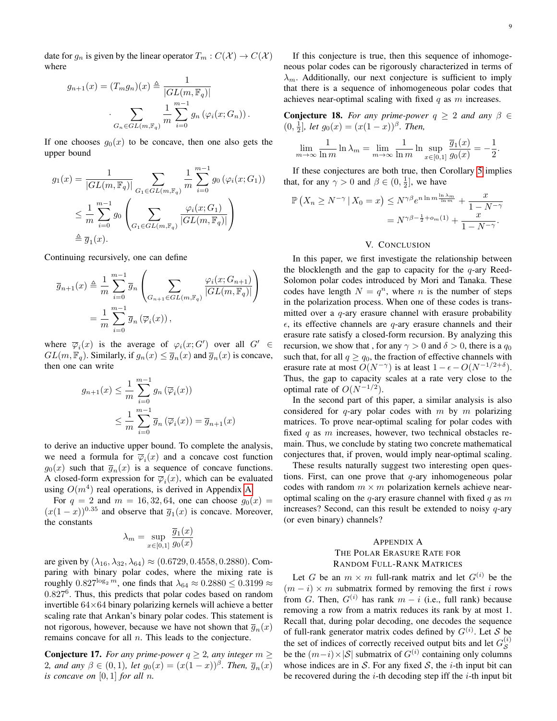date for  $g_n$  is given by the linear operator  $T_m : C(\mathcal{X}) \to C(\mathcal{X})$ where

$$
g_{n+1}(x) = (T_m g_n)(x) \triangleq \frac{1}{|GL(m, \mathbb{F}_q)|}
$$

$$
\cdot \sum_{G_n \in GL(m, \mathbb{F}_q)} \frac{1}{m} \sum_{i=0}^{m-1} g_n(\varphi_i(x; G_n)).
$$

If one chooses  $g_0(x)$  to be concave, then one also gets the upper bound

$$
g_1(x) = \frac{1}{|GL(m, \mathbb{F}_q)|} \sum_{G_1 \in GL(m, \mathbb{F}_q)} \frac{1}{m} \sum_{i=0}^{m-1} g_0(\varphi_i(x; G_1))
$$
  

$$
\leq \frac{1}{m} \sum_{i=0}^{m-1} g_0\left(\sum_{G_1 \in GL(m, \mathbb{F}_q)} \frac{\varphi_i(x; G_1)}{|GL(m, \mathbb{F}_q)|}\right)
$$
  

$$
\triangleq \overline{g}_1(x).
$$

Continuing recursively, one can define

$$
\overline{g}_{n+1}(x) \triangleq \frac{1}{m} \sum_{i=0}^{m-1} \overline{g}_n \left( \sum_{G_{n+1} \in GL(m, \mathbb{F}_q)} \frac{\varphi_i(x; G_{n+1})}{|GL(m, \mathbb{F}_q)|} \right)
$$

$$
= \frac{1}{m} \sum_{i=0}^{m-1} \overline{g}_n (\overline{\varphi}_i(x)),
$$

where  $\overline{\varphi}_i(x)$  is the average of  $\varphi_i(x; G')$  over all  $G' \in$  $GL(m, \mathbb{F}_q)$ . Similarly, if  $g_n(x) \leq \overline{g}_n(x)$  and  $\overline{g}_n(x)$  is concave, then one can write

$$
g_{n+1}(x) \leq \frac{1}{m} \sum_{i=0}^{m-1} g_n(\overline{\varphi}_i(x))
$$
  

$$
\leq \frac{1}{m} \sum_{i=0}^{m-1} \overline{g}_n(\overline{\varphi}_i(x)) = \overline{g}_{n+1}(x)
$$

to derive an inductive upper bound. To complete the analysis, we need a formula for  $\overline{\varphi}_i(x)$  and a concave cost function  $g_0(x)$  such that  $\overline{g}_n(x)$  is a sequence of concave functions. A closed-form expression for  $\overline{\varphi}_i(x)$ , which can be evaluated using  $O(m^4)$  real operations, is derived in Appendix [A.](#page-8-0)

For  $q = 2$  and  $m = 16, 32, 64$ , one can choose  $g_0(x) =$  $(x(1-x))^{0.35}$  and observe that  $\overline{g}_1(x)$  is concave. Moreover, the constants

$$
\lambda_m = \sup_{x \in [0,1]} \frac{\overline{g}_1(x)}{g_0(x)}
$$

are given by  $(\lambda_{16}, \lambda_{32}, \lambda_{64}) \approx (0.6729, 0.4558, 0.2880)$ . Comparing with binary polar codes, where the mixing rate is roughly  $0.827^{\log_2 m}$ , one finds that  $\lambda_{64} \approx 0.2880 \le 0.3199 \approx$ 0.827<sup>6</sup>. Thus, this predicts that polar codes based on random invertible 64×64 binary polarizing kernels will achieve a better scaling rate that Arıkan's binary polar codes. This statement is not rigorous, however, because we have not shown that  $\overline{g}_n(x)$ remains concave for all  $n$ . This leads to the conjecture.

**Conjecture 17.** *For any prime-power*  $q \geq 2$ *, any integer*  $m \geq 2$ 2*, and any*  $\beta \in (0,1)$ *, let*  $g_0(x) = (x(1-x))^{\beta}$ *. Then,*  $\overline{g}_n(x)$ *is concave on*  $[0, 1]$  *for all n.* 

If this conjecture is true, then this sequence of inhomogeneous polar codes can be rigorously characterized in terms of  $\lambda_m$ . Additionally, our next conjecture is sufficient to imply that there is a sequence of inhomogeneous polar codes that achieves near-optimal scaling with fixed  $q$  as  $m$  increases.

**Conjecture 18.** *For any prime-power*  $q \geq 2$  *and any*  $\beta \in$  $(0, \frac{1}{2}],$  let  $g_0(x) = (x(1-x))^{\beta}$ . Then,

$$
\lim_{m \to \infty} \frac{1}{\ln m} \ln \lambda_m = \lim_{m \to \infty} \frac{1}{\ln m} \ln \sup_{x \in [0,1]} \frac{\overline{g}_1(x)}{g_0(x)} = -\frac{1}{2}.
$$

If these conjectures are both true, then Corollary [5](#page-2-1) implies that, for any  $\gamma > 0$  and  $\beta \in (0, \frac{1}{2}]$ , we have

$$
\mathbb{P}\left(X_n \ge N^{-\gamma} \mid X_0 = x\right) \le N^{\gamma\beta} e^{n \ln m \frac{\ln \lambda_m}{\ln m}} + \frac{x}{1 - N^{-\gamma}}
$$

$$
= N^{\gamma\beta - \frac{1}{2} + o_m(1)} + \frac{x}{1 - N^{-\gamma}}.
$$

## V. CONCLUSION

In this paper, we first investigate the relationship between the blocklength and the gap to capacity for the  $q$ -ary Reed-Solomon polar codes introduced by Mori and Tanaka. These codes have length  $N = q^n$ , where *n* is the number of steps in the polarization process. When one of these codes is transmitted over a  $q$ -ary erasure channel with erasure probability  $\epsilon$ , its effective channels are q-ary erasure channels and their erasure rate satisfy a closed-form recursion. By analyzing this recursion, we show that, for any  $\gamma > 0$  and  $\delta > 0$ , there is a  $q_0$ such that, for all  $q \ge q_0$ , the fraction of effective channels with erasure rate at most  $O(N^{-\gamma})$  is at least  $1 - \epsilon - O(N^{-1/2+\delta})$ . Thus, the gap to capacity scales at a rate very close to the optimal rate of  $O(N^{-1/2})$ .

In the second part of this paper, a similar analysis is also considered for  $q$ -ary polar codes with  $m$  by  $m$  polarizing matrices. To prove near-optimal scaling for polar codes with fixed  $q$  as  $m$  increases, however, two technical obstacles remain. Thus, we conclude by stating two concrete mathematical conjectures that, if proven, would imply near-optimal scaling.

These results naturally suggest two interesting open questions. First, can one prove that  $q$ -ary inhomogeneous polar codes with random  $m \times m$  polarization kernels achieve nearoptimal scaling on the  $q$ -ary erasure channel with fixed  $q$  as  $m$ increases? Second, can this result be extended to noisy  $q$ -ary (or even binary) channels?

# <span id="page-8-0"></span>APPENDIX A THE POLAR ERASURE RATE FOR RANDOM FULL-RANK MATRICES

Let G be an  $m \times m$  full-rank matrix and let  $G^{(i)}$  be the  $(m - i) \times m$  submatrix formed by removing the first i rows from G. Then,  $G^{(i)}$  has rank  $m - i$  (i.e., full rank) because removing a row from a matrix reduces its rank by at most 1. Recall that, during polar decoding, one decodes the sequence of full-rank generator matrix codes defined by  $G^{(i)}$ . Let S be the set of indices of correctly received output bits and let  $G_S^{(i)}$ be the  $(m-i) \times |S|$  submatrix of  $G^{(i)}$  containing only columns whose indices are in S. For any fixed S, the *i*-th input bit can be recovered during the  $i$ -th decoding step iff the  $i$ -th input bit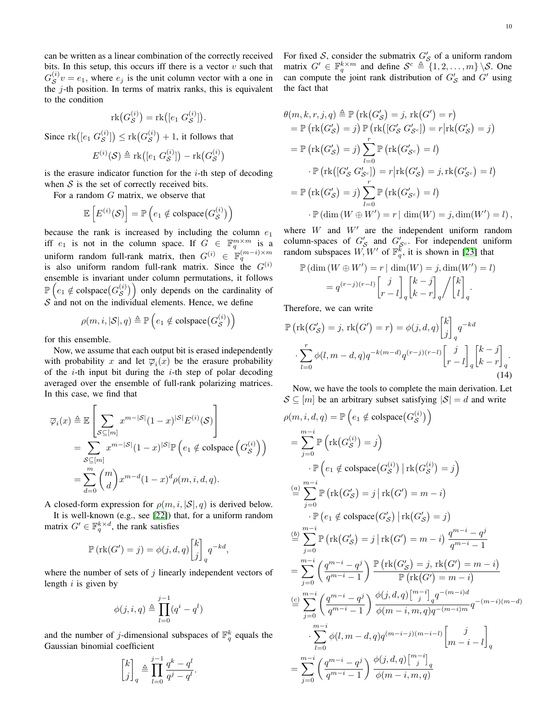can be written as a linear combination of the correctly received bits. In this setup, this occurs iff there is a vector  $v$  such that  $G_S^{(i)} v = e_1$ , where  $e_j$  is the unit column vector with a one in the  $j$ -th position. In terms of matrix ranks, this is equivalent to the condition

$$
\mathrm{rk}\big(G_{\mathcal{S}}^{(i)}\big)=\mathrm{rk}\big([e_1 \ G_{\mathcal{S}}^{(i)}]\big).
$$

Since  $\text{rk}([e_1 \ G_{\mathcal{S}}^{(i)}]) \leq \text{rk}(G_{\mathcal{S}}^{(i)}) + 1$ , it follows that

$$
E^{(i)}(\mathcal{S}) \triangleq \text{rk}([e_1 \ G^{(i)}_{\mathcal{S}}]) - \text{rk}(G^{(i)}_{\mathcal{S}})
$$

is the erasure indicator function for the  $i$ -th step of decoding when  $S$  is the set of correctly received bits.

For a random G matrix, we observe that

$$
\mathbb{E}\left[E^{(i)}(\mathcal{S})\right] = \mathbb{P}\left(e_1 \notin \text{colspace}\big(G^{(i)}_{\mathcal{S}}\big)\right)
$$

because the rank is increased by including the column  $e_1$ iff  $e_1$  is not in the column space. If  $G \in \mathbb{F}_q^{m \times m}$  is a uniform random full-rank matrix, then  $G^{(i)} \in \mathbb{F}_q^{(m-i)\times m}$ is also uniform random full-rank matrix. Since the  $G^{(i)}$ ensemble is invariant under column permutations, it follows  $\mathbb{P}\left(e_1 \notin \text{colspace}(G_{\mathcal{S}}^{(i)})\right)$  only depends on the cardinality of  $S$  and not on the individual elements. Hence, we define

$$
\rho(m, i, |\mathcal{S}|, q) \triangleq \mathbb{P}\left(e_1 \notin \text{colspace}\big(G^{(i)}_{\mathcal{S}}\big)\right)
$$

for this ensemble.

Now, we assume that each output bit is erased independently with probability x and let  $\overline{\varphi}_i(x)$  be the erasure probability of the *i*-th input bit during the *i*-th step of polar decoding averaged over the ensemble of full-rank polarizing matrices. In this case, we find that

$$
\overline{\varphi}_{i}(x) \triangleq \mathbb{E}\left[\sum_{\mathcal{S}\subseteq[m]} x^{m-|\mathcal{S}|}(1-x)^{|\mathcal{S}|} E^{(i)}(\mathcal{S})\right]
$$
  
= 
$$
\sum_{\mathcal{S}\subseteq[m]} x^{m-|\mathcal{S}|}(1-x)^{|\mathcal{S}|} \mathbb{P}\left(e_{1} \notin \text{colspace}\left(G_{\mathcal{S}}^{(i)}\right)\right)
$$
  
= 
$$
\sum_{d=0}^{m} {m \choose d} x^{m-d} (1-x)^{d} \rho(m, i, d, q).
$$

A closed-form expression for  $\rho(m, i, |\mathcal{S}|, q)$  is derived below.

It is well-known (e.g., see [\[22\]](#page-11-17)) that, for a uniform random matrix  $G' \in \mathbb{F}_q^{k \times d}$ , the rank satisfies

$$
\mathbb{P}(\text{rk}(G') = j) = \phi(j, d, q) \begin{bmatrix} k \\ j \end{bmatrix}_q q^{-kd},
$$

where the number of sets of  $j$  linearly independent vectors of length  $i$  is given by

$$
\phi(j, i, q) \triangleq \prod_{l=0}^{j-1} (q^i - q^l)
$$

and the number of j-dimensional subspaces of  $\mathbb{F}_q^k$  equals the Gaussian binomial coefficient

$$
\begin{bmatrix} k \\ j \end{bmatrix}_q \triangleq \prod_{l=0}^{j-1} \frac{q^k - q^l}{q^j - q^l}
$$

.

For fixed S, consider the submatrix  $G'_{\mathcal{S}}$  of a uniform random matrix  $G' \in \mathbb{F}_q^{k \times m}$  and define  $S^c \triangleq \{1, 2, ..., m\} \setminus S$ . One can compute the joint rank distribution of  $G'_{\mathcal{S}}$  and  $G'$  using the fact that

$$
\theta(m, k, r, j, q) \triangleq \mathbb{P} \left( \text{rk}(G'_{\mathcal{S}}) = j, \, \text{rk}(G') = r \right)
$$
  
\n
$$
= \mathbb{P} \left( \text{rk}(G'_{\mathcal{S}}) = j \right) \mathbb{P} \left( \text{rk}([G'_{\mathcal{S}} G'_{\mathcal{S}^c}] \right) = r | \text{rk}(G'_{\mathcal{S}}) = j)
$$
  
\n
$$
= \mathbb{P} \left( \text{rk}(G'_{\mathcal{S}}) = j \right) \sum_{l=0}^{r} \mathbb{P} \left( \text{rk}(G'_{\mathcal{S}^c}) = l \right)
$$
  
\n
$$
\cdot \mathbb{P} \left( \text{rk}([G'_{\mathcal{S}} G'_{\mathcal{S}^c}] \right) = r | \text{rk}(G'_{\mathcal{S}}) = j, \text{rk}(G'_{\mathcal{S}^c}) = l)
$$
  
\n
$$
= \mathbb{P} \left( \text{rk}(G'_{\mathcal{S}}) = j \right) \sum_{l=0}^{r} \mathbb{P} \left( \text{rk}(G'_{\mathcal{S}^c}) = l \right)
$$
  
\n
$$
\cdot \mathbb{P} \left( \dim(W \oplus W') = r | \dim(W) = j, \dim(W') = l \right),
$$

where  $W$  and  $W'$  are the independent uniform random column-spaces of  $G'_{\mathcal{S}}$  and  $G'_{\mathcal{S}^c}$ . For independent uniform random subspaces  $W, W'$  of  $\mathbb{F}_q^{\overline{k}}$ , it is shown in [\[23\]](#page-11-18) that

$$
\mathbb{P}(\dim(W \oplus W') = r | \dim(W) = j, \dim(W') = l)
$$
  
=  $q^{(r-j)(r-l)} \begin{bmatrix} j \\ r-l \end{bmatrix}_q \begin{bmatrix} k-j \\ k-r \end{bmatrix}_q / \begin{bmatrix} k \\ l \end{bmatrix}_q.$ 

Therefore, we can write

$$
\mathbb{P}\left(\text{rk}(G'_{\mathcal{S}}) = j, \text{rk}(G') = r\right) = \phi(j, d, q) \begin{bmatrix} k \\ j \end{bmatrix}_q q^{-kd}
$$

$$
\sum_{l=0}^r \phi(l, m-d, q) q^{-k(m-d)} q^{(r-j)(r-l)} \begin{bmatrix} j \\ r-l \end{bmatrix}_q \begin{bmatrix} k-j \\ k-r \end{bmatrix}_q.
$$
(14)

<span id="page-9-0"></span>Now, we have the tools to complete the main derivation. Let  $S \subseteq [m]$  be an arbitrary subset satisfying  $|S| = d$  and write

$$
\rho(m, i, d, q) = \mathbb{P}\left(e_1 \notin \text{colspace}(G_S^{(i)})\right)
$$
\n
$$
= \sum_{j=0}^{m-i} \mathbb{P}\left(\text{rk}(G_S^{(i)}) = j\right)
$$
\n
$$
\cdot \mathbb{P}\left(e_1 \notin \text{colspace}(G_S^{(i)}) \mid \text{rk}(G_S^{(i)}) = j\right)
$$
\n
$$
\stackrel{(a)}{=} \sum_{j=0}^{m-i} \mathbb{P}\left(\text{rk}(G_S^{'}') = j \mid \text{rk}(G') = m - i\right)
$$
\n
$$
\cdot \mathbb{P}\left(e_1 \notin \text{colspace}(G_S^{'}') \mid \text{rk}(G_S^{'}) = j\right)
$$
\n
$$
\stackrel{(b)}{=} \sum_{j=0}^{m-i} \mathbb{P}\left(\text{rk}(G_S^{'}') = j \mid \text{rk}(G') = m - i\right) \frac{q^{m-i} - q^j}{q^{m-i} - 1}
$$
\n
$$
= \sum_{j=0}^{m-i} \left(\frac{q^{m-i} - q^j}{q^{m-i} - 1}\right) \frac{\mathbb{P}\left(\text{rk}(G_S^{'}') = j, \text{rk}(G') = m - i\right)}{\mathbb{P}\left(\text{rk}(G') = m - i\right)}
$$
\n
$$
\stackrel{(c)}{=} \sum_{j=0}^{m-i} \left(\frac{q^{m-i} - q^j}{q^{m-i} - 1}\right) \frac{\phi(j, d, q) \binom{m-i}{j} q^{-(m-i)d}}{\phi(m-i, m, q) q^{-(m-i)m}} q^{-(m-i)(m-d)}
$$
\n
$$
\cdot \sum_{l=0}^{m-i} \phi(l, m - d, q) q^{(m-i-j)(m-i-l)} \begin{bmatrix} j \\ m-i - l \end{bmatrix}_q
$$
\n
$$
= \sum_{j=0}^{m-i} \left(\frac{q^{m-i} - q^j}{q^{m-i} - 1}\right) \frac{\phi(j, d, q) \binom{m-i}{j} q}{\phi(m-i, m, q)}
$$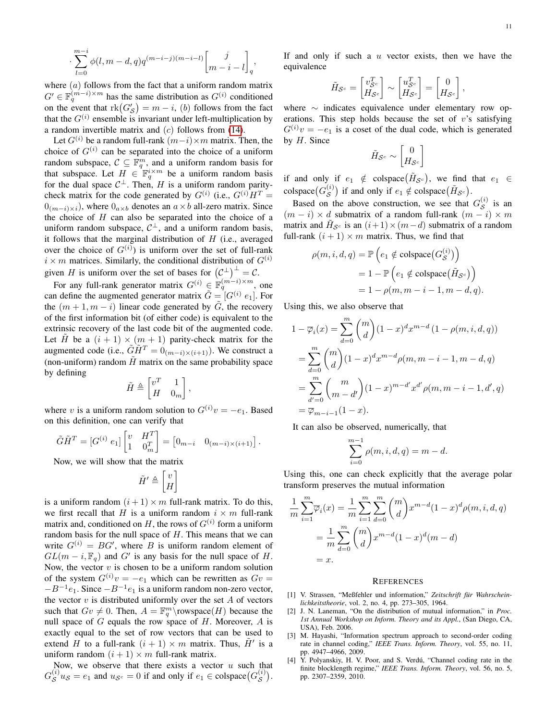$$
\sum_{l=0}^{m-i} \phi(l, m-d, q) q^{(m-i-j)(m-i-l)} \begin{bmatrix} j \\ m-i-l \end{bmatrix}_q,
$$

where  $(a)$  follows from the fact that a uniform random matrix  $G' \in \mathbb{F}_q^{(m-i)\times m}$  has the same distribution as  $G^{(i)}$  conditioned on the event that  $rk(G'_{\mathcal{S}})=m-i$ , (b) follows from the fact that the  $G^{(i)}$  ensemble is invariant under left-multiplication by a random invertible matrix and  $(c)$  follows from [\(14\)](#page-9-0).

·

Let  $G^{(i)}$  be a random full-rank  $(m-i) \times m$  matrix. Then, the choice of  $G^{(i)}$  can be separated into the choice of a uniform random subspace,  $C \subseteq \mathbb{F}_q^m$ , and a uniform random basis for that subspace. Let  $H \in \mathbb{F}_q^{i \times m}$  be a uniform random basis for the dual space  $C^{\perp}$ . Then, H is a uniform random paritycheck matrix for the code generated by  $G^{(i)}$  (i.e.,  $G^{(i)}H^T =$  $0_{(m-i)\times i}$ , where  $0_{a\times b}$  denotes an  $a\times b$  all-zero matrix. Since the choice of  $H$  can also be separated into the choice of a uniform random subspace,  $C^{\perp}$ , and a uniform random basis, it follows that the marginal distribution of  $H$  (i.e., averaged over the choice of  $G^{(i)}$ ) is uniform over the set of full-rank  $i \times m$  matrices. Similarly, the conditional distribution of  $G^{(i)}$ given H is uniform over the set of bases for  $(C^{\perp})^{\perp} = C$ .

For any full-rank generator matrix  $G^{(i)} \in \mathbb{F}_q^{(m-i)\times m}$ , one can define the augmented generator matrix  $\tilde{G} = [G^{(i)} e_1]$ . For the  $(m + 1, m - i)$  linear code generated by G, the recovery of the first information bit (of either code) is equivalent to the extrinsic recovery of the last code bit of the augmented code. Let  $\tilde{H}$  be a  $(i + 1) \times (m + 1)$  parity-check matrix for the augmented code (i.e.,  $\tilde{G}\tilde{H}^T = 0_{(m-i)\times(i+1)}$ ). We construct a (non-uniform) random  $\tilde{H}$  matrix on the same probability space by defining

$$
\tilde{H} \triangleq \begin{bmatrix} v^T & 1 \\ H & 0_m \end{bmatrix},
$$

where v is a uniform random solution to  $G^{(i)}v = -e_1$ . Based on this definition, one can verify that

$$
\tilde{G}\tilde{H}^T = [G^{(i)} e_1] \begin{bmatrix} v & H^T \\ 1 & 0 \end{bmatrix} = \begin{bmatrix} 0_{m-i} & 0_{(m-i)\times(i+1)} \end{bmatrix}.
$$

Now, we will show that the matrix

$$
\tilde{H}' \triangleq \begin{bmatrix} v \\ H \end{bmatrix}
$$

is a uniform random  $(i + 1) \times m$  full-rank matrix. To do this, we first recall that H is a uniform random  $i \times m$  full-rank matrix and, conditioned on H, the rows of  $G^{(i)}$  form a uniform random basis for the null space of  $H$ . This means that we can write  $G^{(i)} = BG'$ , where B is uniform random element of  $GL(m-i, \mathbb{F}_q)$  and G' is any basis for the null space of H. Now, the vector  $v$  is chosen to be a uniform random solution of the system  $G^{(i)}v = -e_1$  which can be rewritten as  $Gv =$  $-B^{-1}e_1$ . Since  $-B^{-1}e_1$  is a uniform random non-zero vector, the vector  $v$  is distributed uniformly over the set  $A$  of vectors such that  $Gv \neq 0$ . Then,  $A = \mathbb{F}_q^m \backslash \text{rowspace}(H)$  because the null space of  $G$  equals the row space of  $H$ . Moreover,  $A$  is exactly equal to the set of row vectors that can be used to extend H to a full-rank  $(i + 1) \times m$  matrix. Thus,  $\tilde{H}'$  is a uniform random  $(i + 1) \times m$  full-rank matrix.

Now, we observe that there exists a vector  $u$  such that  $G_S^{(i)} u_S = e_1$  and  $u_{S^c} = 0$  if and only if  $e_1 \in \text{colspace}(G_S^{(i)})$ . If and only if such a  $u$  vector exists, then we have the equivalence

$$
\tilde{H}_{\mathcal{S}^c} = \begin{bmatrix} v_{\mathcal{S}^c}^T \\ H_{\mathcal{S}^c} \end{bmatrix} \sim \begin{bmatrix} u_{\mathcal{S}^c}^T \\ H_{\mathcal{S}^c} \end{bmatrix} = \begin{bmatrix} 0 \\ H_{\mathcal{S}^c} \end{bmatrix},
$$

where ∼ indicates equivalence under elementary row operations. This step holds because the set of  $v$ 's satisfying  $G^{(i)}v = -e_1$  is a coset of the dual code, which is generated by  $H$ . Since

$$
\tilde{H}_{\mathcal{S}^c} \sim \begin{bmatrix} 0 \\ H_{\mathcal{S}^c} \end{bmatrix}
$$

if and only if  $e_1 \notin \text{colspace}(\tilde{H}_{\mathcal{S}^c})$ , we find that  $e_1 \in$ colspace  $(G_S^{(i)})$  if and only if  $e_1 \notin \text{colspace}(\tilde{H}_{S^c})$ .

Based on the above construction, we see that  $G_S^{(i)}$  is an  $(m - i) \times d$  submatrix of a random full-rank  $(m - i) \times m$ matrix and  $\tilde{H}_{\mathcal{S}^c}$  is an  $(i+1) \times (m-d)$  submatrix of a random full-rank  $(i + 1) \times m$  matrix. Thus, we find that

$$
\rho(m, i, d, q) = \mathbb{P}\left(e_1 \notin \text{colspace}(G_{\mathcal{S}}^{(i)})\right)
$$

$$
= 1 - \mathbb{P}\left(e_1 \notin \text{colspace}(\tilde{H}_{\mathcal{S}^c})\right)
$$

$$
= 1 - \rho(m, m - i - 1, m - d, q).
$$

Using this, we also observe that

$$
1 - \overline{\varphi}_i(x) = \sum_{d=0}^m {m \choose d} (1-x)^d x^{m-d} (1 - \rho(m, i, d, q))
$$
  
= 
$$
\sum_{d=0}^m {m \choose d} (1-x)^d x^{m-d} \rho(m, m-i-1, m-d, q)
$$
  
= 
$$
\sum_{d'=0}^m {m \choose m-d'} (1-x)^{m-d'} x^{d'} \rho(m, m-i-1, d', q)
$$
  
= 
$$
\overline{\varphi}_{m-i-1}(1-x).
$$

It can also be observed, numerically, that

$$
\sum_{i=0}^{m-1} \rho(m, i, d, q) = m - d.
$$

Using this, one can check explicitly that the average polar transform preserves the mutual information

$$
\frac{1}{m} \sum_{i=1}^{m} \overline{\varphi}_i(x) = \frac{1}{m} \sum_{i=1}^{m} \sum_{d=0}^{m} {m \choose d} x^{m-d} (1-x)^d \rho(m, i, d, q)
$$

$$
= \frac{1}{m} \sum_{d=0}^{m} {m \choose d} x^{m-d} (1-x)^d (m-d)
$$

$$
= x.
$$

#### **REFERENCES**

- <span id="page-10-0"></span>[1] V. Strassen, "Meßfehler und information," *Zeitschrift für Wahrscheinlichkeitstheorie*, vol. 2, no. 4, pp. 273–305, 1964.
- <span id="page-10-1"></span>[2] J. N. Laneman, "On the distribution of mutual information," in *Proc. 1st Annual Workshop on Inform. Theory and its Appl.*, (San Diego, CA, USA), Feb. 2006.
- <span id="page-10-2"></span>[3] M. Hayashi, "Information spectrum approach to second-order coding rate in channel coding," *IEEE Trans. Inform. Theory*, vol. 55, no. 11, pp. 4947–4966, 2009.
- <span id="page-10-3"></span>[4] Y. Polyanskiy, H. V. Poor, and S. Verdú, "Channel coding rate in the finite blocklength regime," *IEEE Trans. Inform. Theory*, vol. 56, no. 5, pp. 2307–2359, 2010.